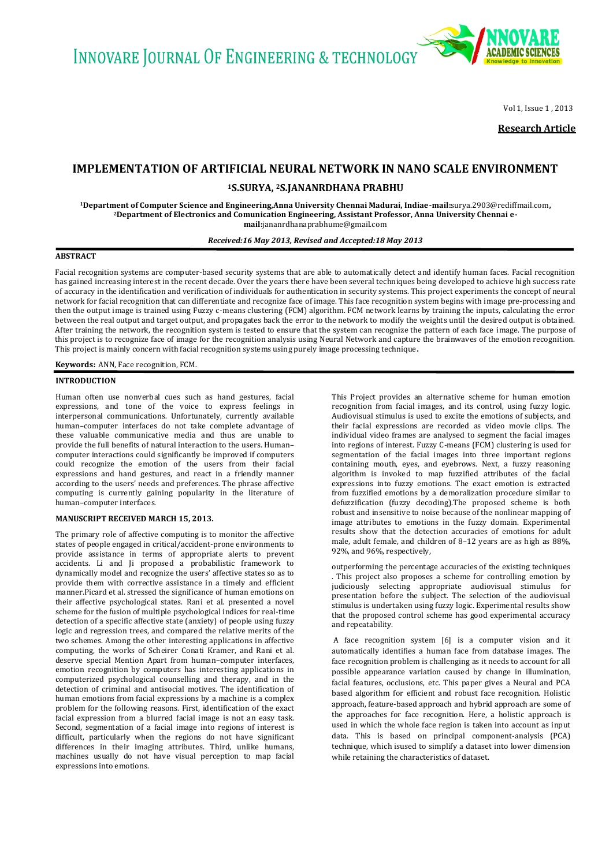**INNOVARE JOURNAL OF ENGINEERING & TECHNOLOGY** 



Vol 1, Issue 1 , 2013

**Research Article**

# **IMPLEMENTATION OF ARTIFICIAL NEURAL NETWORK IN NANO SCALE ENVIRONMENT**

**<sup>1</sup>S.SURYA, 2S.JANANRDHANA PRABHU**

**<sup>1</sup>Department of Computer Science and Engineering,Anna University Chennai Madurai, Indiae-mail:**surya.2903@rediffmail.com**, <sup>2</sup>Department of Electronics and Comunication Engineering, Assistant Professor, Anna University Chennai email:**jananrdhanaprabhume@gmail.com

*Received:16 May 2013, Revised and Accepted:18 May 2013*

#### **ABSTRACT**

Facial recognition systems are computer-based security systems that are able to automatically detect and identify human faces. Facial recognition has gained increasing interest in the recent decade. Over the years there have been several techniques being developed to achieve high success rate of accuracy in the identification and verification of individuals for authentication in security systems. This project experiments the concept of neural network for facial recognition that can differentiate and recognize face of image. This face recognition system begins with image pre-processing and then the output image is trained using Fuzzy c-means clustering (FCM) algorithm. FCM network learns by training the inputs, calculating the error between the real output and target output, and propagates back the error to the network to modify the weights until the desired output is obtained. After training the network, the recognition system is tested to ensure that the system can recognize the pattern of each face image. The purpose of this project is to recognize face of image for the recognition analysis using Neural Network and capture the brainwaves of the emotion recognition. This project is mainly concern with facial recognition systems using purely image processing technique**.**

**Keywords:** ANN, Face recognition, FCM.

#### **INTRODUCTION**

Human often use nonverbal cues such as hand gestures, facial expressions, and tone of the voice to express feelings in interpersonal communications. Unfortunately, currently available human–computer interfaces do not take complete advantage of these valuable communicative media and thus are unable to provide the full benefits of natural interaction to the users. Human– computer interactions could significantly be improved if computers could recognize the emotion of the users from their facial expressions and hand gestures, and react in a friendly manner according to the users' needs and preferences. The phrase affective computing is currently gaining popularity in the literature of human–computer interfaces.

#### **MANUSCRIPT RECEIVED MARCH 15, 2013.**

The primary role of affective computing is to monitor the affective states of people engaged in critical/accident-prone environments to provide assistance in terms of appropriate alerts to prevent accidents. Li and Ji proposed a probabilistic framework to dynamically model and recognize the users' affective states so as to provide them with corrective assistance in a timely and efficient manner.Picard et al. stressed the significance of human emotions on their affective psychological states. Rani et al. presented a novel scheme for the fusion of multiple psychological indices for real-time detection of a specific affective state (anxiety) of people using fuzzy logic and regression trees, and compared the relative merits of the two schemes. Among the other interesting applications in affective computing, the works of Scheirer Conati Kramer, and Rani et al. deserve special Mention Apart from human–computer interfaces, emotion recognition by computers has interesting applications in computerized psychological counselling and therapy, and in the detection of criminal and antisocial motives. The identification of human emotions from facial expressions by a machine is a complex problem for the following reasons. First, identification of the exact facial expression from a blurred facial image is not an easy task. Second, segmentation of a facial image into regions of interest is difficult, particularly when the regions do not have significant differences in their imaging attributes. Third, unlike humans, machines usually do not have visual perception to map facial expressions into emotions.

This Project provides an alternative scheme for human emotion recognition from facial images, and its control, using fuzzy logic. Audiovisual stimulus is used to excite the emotions of subjects, and their facial expressions are recorded as video movie clips. The individual video frames are analysed to segment the facial images into regions of interest. Fuzzy C-means (FCM) clustering is used for segmentation of the facial images into three important regions containing mouth, eyes, and eyebrows. Next, a fuzzy reasoning algorithm is invoked to map fuzzified attributes of the facial expressions into fuzzy emotions. The exact emotion is extracted from fuzzified emotions by a demoralization procedure similar to defuzzification (fuzzy decoding).The proposed scheme is both robust and insensitive to noise because of the nonlinear mapping of image attributes to emotions in the fuzzy domain. Experimental results show that the detection accuracies of emotions for adult male, adult female, and children of 8–12 years are as high as 88%, 92%, and 96%, respectively,

outperforming the percentage accuracies of the existing techniques . This project also proposes a scheme for controlling emotion by judiciously selecting appropriate audiovisual stimulus for presentation before the subject. The selection of the audiovisual stimulus is undertaken using fuzzy logic. Experimental results show that the proposed control scheme has good experimental accuracy and repeatability.

A face recognition system [6] is a computer vision and it automatically identifies a human face from database images. The face recognition problem is challenging as it needs to account for all possible appearance variation caused by change in illumination, facial features, occlusions, etc. This paper gives a Neural and PCA based algorithm for efficient and robust face recognition. Holistic approach, feature-based approach and hybrid approach are some of the approaches for face recognition. Here, a holistic approach is used in which the whole face region is taken into account as input data. This is based on principal component-analysis (PCA) technique, which isused to simplify a dataset into lower dimension while retaining the characteristics of dataset.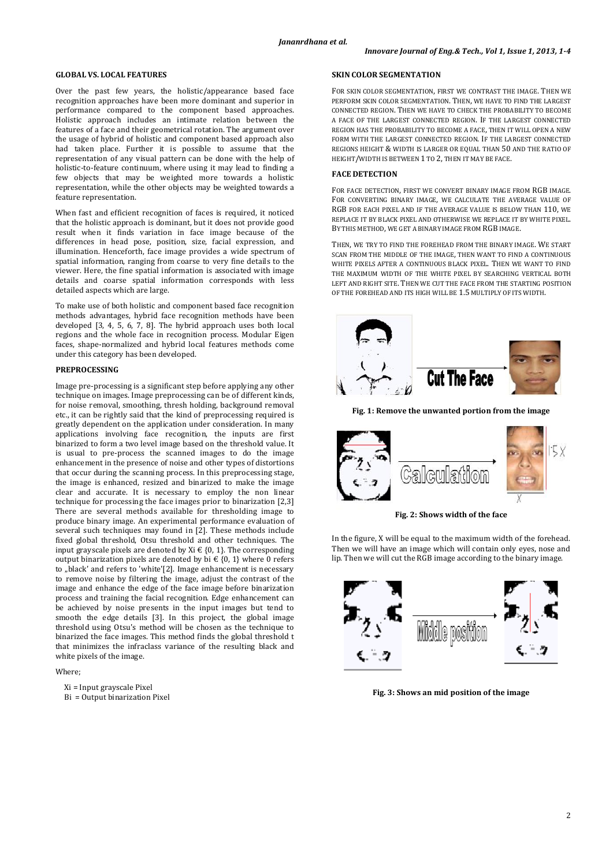#### **GLOBAL VS. LOCAL FEATURES**

Over the past few years, the holistic/appearance based face recognition approaches have been more dominant and superior in performance compared to the component based approaches. Holistic approach includes an intimate relation between the features of a face and their geometrical rotation. The argument over the usage of hybrid of holistic and component based approach also had taken place. Further it is possible to assume that the representation of any visual pattern can be done with the help of holistic-to-feature continuum, where using it may lead to finding a few objects that may be weighted more towards a holistic representation, while the other objects may be weighted towards a feature representation.

When fast and efficient recognition of faces is required, it noticed that the holistic approach is dominant, but it does not provide good result when it finds variation in face image because of the differences in head pose, position, size, facial expression, and illumination. Henceforth, face image provides a wide spectrum of spatial information, ranging from coarse to very fine details to the viewer. Here, the fine spatial information is associated with image details and coarse spatial information corresponds with less detailed aspects which are large.

To make use of both holistic and component based face recognition methods advantages, hybrid face recognition methods have been developed [3, 4, 5, 6, 7, 8]. The hybrid approach uses both local regions and the whole face in recognition process. Modular Eigen faces, shape-normalized and hybrid local features methods come under this category has been developed.

#### **PREPROCESSING**

Image pre-processing is a significant step before applying any other technique on images. Image preprocessing can be of different kinds, for noise removal, smoothing, thresh holding, background removal etc., it can be rightly said that the kind of preprocessing required is greatly dependent on the application under consideration. In many applications involving face recognition, the inputs are first binarized to form a two level image based on the threshold value. It is usual to pre-process the scanned images to do the image enhancement in the presence of noise and other types of distortions that occur during the scanning process. In this preprocessing stage, the image is enhanced, resized and binarized to make the image clear and accurate. It is necessary to employ the non linear technique for processing the face images prior to binarization [2,3] There are several methods available for thresholding image to produce binary image. An experimental performance evaluation of several such techniques may found in [2]. These methods include fixed global threshold, Otsu threshold and other techniques. The input grayscale pixels are denoted by Xi  $\in$  {0, 1}. The corresponding output binarization pixels are denoted by bi  $\in$  {0, 1} where 0 refers to "black' and refers to 'white'[2]. Image enhancement is necessary to remove noise by filtering the image, adjust the contrast of the image and enhance the edge of the face image before binarization process and training the facial recognition. Edge enhancement can be achieved by noise presents in the input images but tend to smooth the edge details [3]. In this project, the global image threshold using Otsu's method will be chosen as the technique to binarized the face images. This method finds the global threshold t that minimizes the infraclass variance of the resulting black and white pixels of the image.

## Where;

- Xi = Input grayscale Pixel
- Bi = Output binarization Pixel

#### **SKIN COLOR SEGMENTATION**

 FOR SKIN COLOR SEGMENTATION, FIRST WE CONTRAST THE IMAGE. THEN WE PERFORM SKIN COLOR SEGMENTATION. THEN, WE HAVE TO FIND THE LARGEST CONNECTED REGION. THEN WE HAVE TO CHECK THE PROBABILITY TO BECOME A FACE OF THE LARGEST CONNECTED REGION. IF THE LARGEST CONNECTED REGION HAS THE PROBABILITY TO BECOME A FACE, THEN IT WILL OPEN A NEW FORM WITH THE LARGEST CONNECTED REGION. IF THE LARGEST CONNECTED REGIONS HEIGHT & WIDTH IS LARGER OR EQUAL THAN 50 AND THE RATIO OF HEIGHT/WIDTH IS BETWEEN 1 TO 2, THEN IT MAY BE FACE.

#### **FACE DETECTION**

FOR FACE DETECTION, FIRST WE CONVERT BINARY IMAGE FROM RGB IMAGE. FOR CONVERTING BINARY IMAGE, WE CALCULATE THE AVERAGE VALUE OF RGB FOR EACH PIXEL AND IF THE AVERAGE VALUE IS BELOW THAN 110, WE REPLACE IT BY BLACK PIXEL AND OTHERWISE WE REPLACE IT BY WHITE PIXEL. BY THIS METHOD, WE GET A BINARY IMAGE FROM RGB IMAGE.

THEN, WE TRY TO FIND THE FOREHEAD FROM THE BINARY IMAGE. WE START SCAN FROM THE MIDDLE OF THE IMAGE, THEN WANT TO FIND A CONTINUOUS WHITE PIXELS AFTER A CONTINUOUS BLACK PIXEL. THEN WE WANT TO FIND THE MAXIMUM WIDTH OF THE WHITE PIXEL BY SEARCHING VERTICAL BOTH LEFT AND RIGHT SITE. THEN WE CUT THE FACE FROM THE STARTING POSITION OF THE FOREHEAD AND ITS HIGH WILL BE 1.5 MULTIPLY OF ITS WIDTH.



**Fig. 1: Remove the unwanted portion from the image** 



**Fig. 2: Shows width of the face** 

In the figure, X will be equal to the maximum width of the forehead. Then we will have an image which will contain only eyes, nose and lip. Then we will cut the RGB image according to the binary image.



**Fig. 3: Shows an mid position of the image**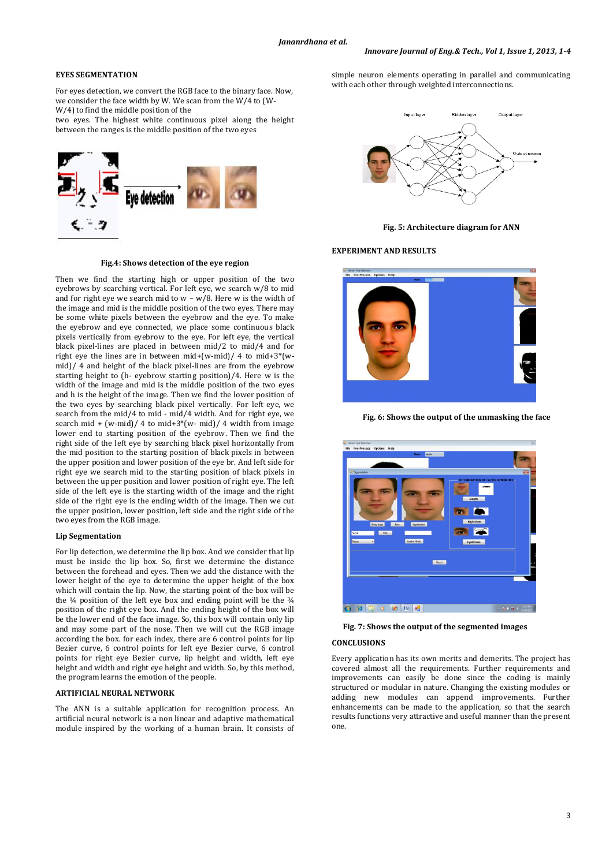## **EYES SEGMENTATION**

For eyes detection, we convert the RGB face to the binary face. Now, we consider the face width by W. We scan from the W/4 to (W-W/4) to find the middle position of the

two eyes. The highest white continuous pixel along the height between the ranges is the middle position of the two eyes



## **Fig.4: Shows detection of the eye region**

Then we find the starting high or upper position of the two eyebrows by searching vertical. For left eye, we search w/8 to mid and for right eye we search mid to  $w - w/8$ . Here w is the width of the image and mid is the middle position of the two eyes. There may be some white pixels between the eyebrow and the eye. To make the eyebrow and eye connected, we place some continuous black pixels vertically from eyebrow to the eye. For left eye, the vertical black pixel-lines are placed in between mid/2 to mid/4 and for right eye the lines are in between mid+(w-mid)/ 4 to mid+3\*(wmid)/ 4 and height of the black pixel-lines are from the eyebrow starting height to (h- eyebrow starting position)/4. Here w is the width of the image and mid is the middle position of the two eyes and h is the height of the image. Then we find the lower position of the two eyes by searching black pixel vertically. For left eye, we search from the mid/4 to mid - mid/4 width. And for right eye, we search mid + (w-mid)/ 4 to mid+3\*(w- mid)/ 4 width from image lower end to starting position of the eyebrow. Then we find the right side of the left eye by searching black pixel horizontally from the mid position to the starting position of black pixels in between the upper position and lower position of the eye br. And left side for right eye we search mid to the starting position of black pixels in between the upper position and lower position of right eye. The left side of the left eye is the starting width of the image and the right side of the right eye is the ending width of the image. Then we cut the upper position, lower position, left side and the right side of the two eyes from the RGB image.

## **Lip Segmentation**

For lip detection, we determine the lip box. And we consider that lip must be inside the lip box. So, first we determine the distance between the forehead and eyes. Then we add the distance with the lower height of the eye to determine the upper height of the box which will contain the lip. Now, the starting point of the box will be the ¼ position of the left eye box and ending point will be the ¾ position of the right eye box. And the ending height of the box will be the lower end of the face image. So, this box will contain only lip and may some part of the nose. Then we will cut the RGB image according the box. for each index, there are 6 control points for lip Bezier curve, 6 control points for left eye Bezier curve, 6 control points for right eye Bezier curve, lip height and width, left eye height and width and right eye height and width. So, by this method, the program learns the emotion of the people.

## **ARTIFICIAL NEURAL NETWORK**

The ANN is a suitable application for recognition process. An artificial neural network is a non linear and adaptive mathematical module inspired by the working of a human brain. It consists of simple neuron elements operating in parallel and communicating with each other through weighted interconnections.



**Fig. 5: Architecture diagram for ANN**

#### **EXPERIMENT AND RESULTS**



**Fig. 6: Shows the output of the unmasking the face**



# **Fig. 7: Shows the output of the segmented images CONCLUSIONS**

Every application has its own merits and demerits. The project has covered almost all the requirements. Further requirements and improvements can easily be done since the coding is mainly structured or modular in nature. Changing the existing modules or adding new modules can append improvements. Further enhancements can be made to the application, so that the search results functions very attractive and useful manner than the present one.